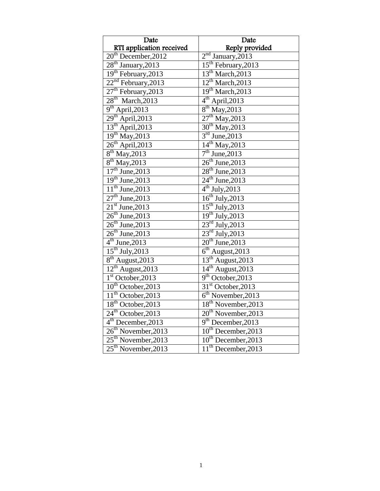| Date                            | Date                               |
|---------------------------------|------------------------------------|
| RTI application received        | Reply provided                     |
| $20th$ December, 2012           | $2nd$ January, 2013                |
| $28th$ January, 2013            | 15 <sup>th</sup> February, 2013    |
| 19 <sup>th</sup> February, 2013 | 13 <sup>th</sup> March, 2013       |
| $22nd$ February, 2013           | $12^{\text{th}}$ March, 2013       |
| $27th$ February, 2013           | 19 <sup>th</sup> March, 2013       |
| $28th$ March, 2013              | $4^{\text{th}}$ April, 2013        |
| $9th$ April, 2013               | $8^{th}$ May, 2013                 |
| $29th$ April, 2013              | $27th$ May, 2013                   |
| $13th$ April, 2013              | $30th$ May, 2013                   |
| $19th$ May, 2013                | $3rd$ June, 2013                   |
| $26th$ April, 2013              | $14^{th}$ May, 2013                |
| $8^{th}$ May, 2013              | $7th$ June, 2013                   |
| $8^{th}$ May, 2013              | $26th$ June, 2013                  |
| $17th$ June, 2013               | $28th$ June, 2013                  |
| $19th$ June, 2013               | $24^{\text{th}}$ June, 2013        |
| $11th$ June, 2013               | $4th$ July, 2013                   |
| $\overline{27^{th}}$ June, 2013 | $16^{th}$ July, 2013               |
| $21st$ June, 2013               | $15th$ July, 2013                  |
| $26^{th}$ June, 2013            | $19th$ July, 2013                  |
| $26th$ June, 2013               | $23^{\text{rd}}$ July, 2013        |
| $26th$ June, 2013               | $23^{\text{rd}}$ July, 2013        |
| $4th$ June, 2013                | $20th$ June, 2013                  |
| $15th$ July, 2013               | $6th$ August, 2013                 |
| $8th$ August, 2013              | $13th$ August, 2013                |
| $12^{th}$ August, 2013          | $14^{\text{th}}$ August, 2013      |
| $1st$ October, 2013             | 9 <sup>th</sup> October, 2013      |
| $10^{th}$ October, 2013         | $31st$ October, 2013               |
| $11th$ October, 2013            | $\overline{6^{th}}$ November, 2013 |
| 18 <sup>th</sup> October, 2013  | 18 <sup>th</sup> November, 2013    |
| $24th$ October, 2013            | $20th$ November, 2013              |
| 4 <sup>th</sup> December, 2013  | $9th$ December, 2013               |
| 26 <sup>th</sup> November, 2013 | 10 <sup>th</sup> December, 2013    |
| $25th$ November, 2013           | 10 <sup>th</sup> December, 2013    |
| $25th$ November, 2013           | $11th$ December, 2013              |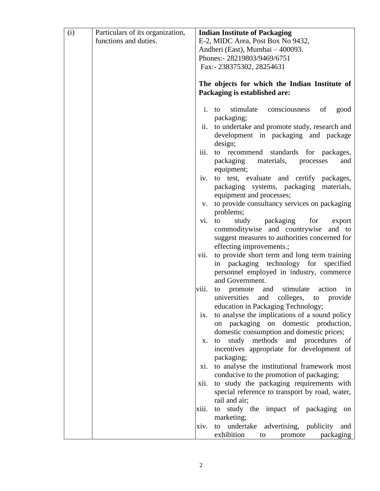| (i) | Particulars of its organization, |       | <b>Indian Institute of Packaging</b>                                                 |
|-----|----------------------------------|-------|--------------------------------------------------------------------------------------|
|     | functions and duties.            |       | E-2, MIDC Area, Post Box No 9432,                                                    |
|     |                                  |       | Andheri (East), Mumbai - 400093.                                                     |
|     |                                  |       | Phones:- 28219803/9469/6751                                                          |
|     |                                  |       | Fax:- 238375302, 28254631                                                            |
|     |                                  |       |                                                                                      |
|     |                                  |       | The objects for which the Indian Institute of<br>Packaging is established are:       |
|     |                                  | i.    | stimulate consciousness<br>of<br>to<br>good                                          |
|     |                                  | ii.   | packaging;<br>to undertake and promote study, research and                           |
|     |                                  |       | development in packaging and package<br>design;                                      |
|     |                                  | iii.  | to recommend standards for packages,                                                 |
|     |                                  |       | packaging materials, processes<br>and<br>equipment;                                  |
|     |                                  | iv.   | to test, evaluate and certify packages,                                              |
|     |                                  |       | packaging systems, packaging materials,<br>equipment and processes;                  |
|     |                                  | V.    | to provide consultancy services on packaging                                         |
|     |                                  |       | problems;                                                                            |
|     |                                  | vi.   | study packaging<br>for<br>export<br>to                                               |
|     |                                  |       | commoditywise and countrywise and to                                                 |
|     |                                  |       | suggest measures to authorities concerned for                                        |
|     |                                  |       | effecting improvements.;                                                             |
|     |                                  | vii.  | to provide short term and long term training                                         |
|     |                                  |       | in packaging technology for specified<br>personnel employed in industry, commerce    |
|     |                                  |       | and Government.                                                                      |
|     |                                  | viii. | to promote and stimulate action<br>in                                                |
|     |                                  |       | universities and colleges, to provide                                                |
|     |                                  |       | education in Packaging Technology;                                                   |
|     |                                  | 1X.   | to analyse the implications of a sound policy                                        |
|     |                                  |       | on packaging on domestic production,                                                 |
|     |                                  |       | domestic consumption and domestic prices;                                            |
|     |                                  | Х.    | study<br>methods and procedures of<br>to                                             |
|     |                                  |       | incentives appropriate for development of                                            |
|     |                                  |       | packaging;                                                                           |
|     |                                  | X1.   | to analyse the institutional framework most                                          |
|     |                                  | xii.  | conducive to the promotion of packaging;<br>to study the packaging requirements with |
|     |                                  |       | special reference to transport by road, water,                                       |
|     |                                  |       | rail and air;                                                                        |
|     |                                  | xiii. | to study the impact of packaging<br>on                                               |
|     |                                  |       | marketing;                                                                           |
|     |                                  | xiv.  | undertake advertising, publicity<br>to<br>and                                        |
|     |                                  |       | exhibition<br>packaging<br>promote<br>to                                             |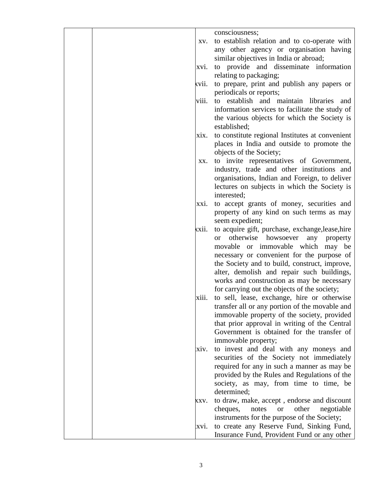| consciousness;<br>to establish relation and to co-operate with<br>XV.<br>any other agency or organisation having<br>similar objectives in India or abroad;<br>to provide and disseminate information<br>xvi.<br>relating to packaging;<br>to prepare, print and publish any papers or<br>xvii.<br>periodicals or reports;<br>viii.<br>to establish and maintain libraries and<br>information services to facilitate the study of<br>the various objects for which the Society is<br>established;<br>to constitute regional Institutes at convenient<br>xix.<br>places in India and outside to promote the<br>objects of the Society;<br>to invite representatives of Government,<br>XX.<br>industry, trade and other institutions and<br>organisations, Indian and Foreign, to deliver<br>lectures on subjects in which the Society is<br>interested;<br>to accept grants of money, securities and<br>XX1.<br>property of any kind on such terms as may<br>seem expedient;<br>to acquire gift, purchase, exchange, lease, hire<br>xxii.<br>otherwise<br>howsoever<br>any<br><sub>or</sub><br>property<br>movable or immovable which may be<br>necessary or convenient for the purpose of<br>the Society and to build, construct, improve,<br>alter, demolish and repair such buildings,<br>works and construction as may be necessary<br>for carrying out the objects of the society;<br>to sell, lease, exchange, hire or otherwise<br>xiii.<br>transfer all or any portion of the movable and<br>immovable property of the society, provided<br>that prior approval in writing of the Central<br>Government is obtained for the transfer of<br>immovable property;<br>to invest and deal with any moneys and<br>XIV.<br>securities of the Society not immediately<br>required for any in such a manner as may be<br>provided by the Rules and Regulations of the<br>society, as may, from time to time, be<br>determined;<br>to draw, make, accept, endorse and discount<br>XXV.<br>cheques,<br>other<br>notes<br>negotiable<br><b>or</b><br>instruments for the purpose of the Society;<br>to create any Reserve Fund, Sinking Fund,<br>xvi.<br>Insurance Fund, Provident Fund or any other |  |  |
|------------------------------------------------------------------------------------------------------------------------------------------------------------------------------------------------------------------------------------------------------------------------------------------------------------------------------------------------------------------------------------------------------------------------------------------------------------------------------------------------------------------------------------------------------------------------------------------------------------------------------------------------------------------------------------------------------------------------------------------------------------------------------------------------------------------------------------------------------------------------------------------------------------------------------------------------------------------------------------------------------------------------------------------------------------------------------------------------------------------------------------------------------------------------------------------------------------------------------------------------------------------------------------------------------------------------------------------------------------------------------------------------------------------------------------------------------------------------------------------------------------------------------------------------------------------------------------------------------------------------------------------------------------------------------------------------------------------------------------------------------------------------------------------------------------------------------------------------------------------------------------------------------------------------------------------------------------------------------------------------------------------------------------------------------------------------------------------------------------------------------------------------------------------------------------------------|--|--|
|                                                                                                                                                                                                                                                                                                                                                                                                                                                                                                                                                                                                                                                                                                                                                                                                                                                                                                                                                                                                                                                                                                                                                                                                                                                                                                                                                                                                                                                                                                                                                                                                                                                                                                                                                                                                                                                                                                                                                                                                                                                                                                                                                                                                |  |  |
|                                                                                                                                                                                                                                                                                                                                                                                                                                                                                                                                                                                                                                                                                                                                                                                                                                                                                                                                                                                                                                                                                                                                                                                                                                                                                                                                                                                                                                                                                                                                                                                                                                                                                                                                                                                                                                                                                                                                                                                                                                                                                                                                                                                                |  |  |
|                                                                                                                                                                                                                                                                                                                                                                                                                                                                                                                                                                                                                                                                                                                                                                                                                                                                                                                                                                                                                                                                                                                                                                                                                                                                                                                                                                                                                                                                                                                                                                                                                                                                                                                                                                                                                                                                                                                                                                                                                                                                                                                                                                                                |  |  |
|                                                                                                                                                                                                                                                                                                                                                                                                                                                                                                                                                                                                                                                                                                                                                                                                                                                                                                                                                                                                                                                                                                                                                                                                                                                                                                                                                                                                                                                                                                                                                                                                                                                                                                                                                                                                                                                                                                                                                                                                                                                                                                                                                                                                |  |  |
|                                                                                                                                                                                                                                                                                                                                                                                                                                                                                                                                                                                                                                                                                                                                                                                                                                                                                                                                                                                                                                                                                                                                                                                                                                                                                                                                                                                                                                                                                                                                                                                                                                                                                                                                                                                                                                                                                                                                                                                                                                                                                                                                                                                                |  |  |
|                                                                                                                                                                                                                                                                                                                                                                                                                                                                                                                                                                                                                                                                                                                                                                                                                                                                                                                                                                                                                                                                                                                                                                                                                                                                                                                                                                                                                                                                                                                                                                                                                                                                                                                                                                                                                                                                                                                                                                                                                                                                                                                                                                                                |  |  |
|                                                                                                                                                                                                                                                                                                                                                                                                                                                                                                                                                                                                                                                                                                                                                                                                                                                                                                                                                                                                                                                                                                                                                                                                                                                                                                                                                                                                                                                                                                                                                                                                                                                                                                                                                                                                                                                                                                                                                                                                                                                                                                                                                                                                |  |  |
|                                                                                                                                                                                                                                                                                                                                                                                                                                                                                                                                                                                                                                                                                                                                                                                                                                                                                                                                                                                                                                                                                                                                                                                                                                                                                                                                                                                                                                                                                                                                                                                                                                                                                                                                                                                                                                                                                                                                                                                                                                                                                                                                                                                                |  |  |
|                                                                                                                                                                                                                                                                                                                                                                                                                                                                                                                                                                                                                                                                                                                                                                                                                                                                                                                                                                                                                                                                                                                                                                                                                                                                                                                                                                                                                                                                                                                                                                                                                                                                                                                                                                                                                                                                                                                                                                                                                                                                                                                                                                                                |  |  |
|                                                                                                                                                                                                                                                                                                                                                                                                                                                                                                                                                                                                                                                                                                                                                                                                                                                                                                                                                                                                                                                                                                                                                                                                                                                                                                                                                                                                                                                                                                                                                                                                                                                                                                                                                                                                                                                                                                                                                                                                                                                                                                                                                                                                |  |  |
|                                                                                                                                                                                                                                                                                                                                                                                                                                                                                                                                                                                                                                                                                                                                                                                                                                                                                                                                                                                                                                                                                                                                                                                                                                                                                                                                                                                                                                                                                                                                                                                                                                                                                                                                                                                                                                                                                                                                                                                                                                                                                                                                                                                                |  |  |
|                                                                                                                                                                                                                                                                                                                                                                                                                                                                                                                                                                                                                                                                                                                                                                                                                                                                                                                                                                                                                                                                                                                                                                                                                                                                                                                                                                                                                                                                                                                                                                                                                                                                                                                                                                                                                                                                                                                                                                                                                                                                                                                                                                                                |  |  |
|                                                                                                                                                                                                                                                                                                                                                                                                                                                                                                                                                                                                                                                                                                                                                                                                                                                                                                                                                                                                                                                                                                                                                                                                                                                                                                                                                                                                                                                                                                                                                                                                                                                                                                                                                                                                                                                                                                                                                                                                                                                                                                                                                                                                |  |  |
|                                                                                                                                                                                                                                                                                                                                                                                                                                                                                                                                                                                                                                                                                                                                                                                                                                                                                                                                                                                                                                                                                                                                                                                                                                                                                                                                                                                                                                                                                                                                                                                                                                                                                                                                                                                                                                                                                                                                                                                                                                                                                                                                                                                                |  |  |
|                                                                                                                                                                                                                                                                                                                                                                                                                                                                                                                                                                                                                                                                                                                                                                                                                                                                                                                                                                                                                                                                                                                                                                                                                                                                                                                                                                                                                                                                                                                                                                                                                                                                                                                                                                                                                                                                                                                                                                                                                                                                                                                                                                                                |  |  |
|                                                                                                                                                                                                                                                                                                                                                                                                                                                                                                                                                                                                                                                                                                                                                                                                                                                                                                                                                                                                                                                                                                                                                                                                                                                                                                                                                                                                                                                                                                                                                                                                                                                                                                                                                                                                                                                                                                                                                                                                                                                                                                                                                                                                |  |  |
|                                                                                                                                                                                                                                                                                                                                                                                                                                                                                                                                                                                                                                                                                                                                                                                                                                                                                                                                                                                                                                                                                                                                                                                                                                                                                                                                                                                                                                                                                                                                                                                                                                                                                                                                                                                                                                                                                                                                                                                                                                                                                                                                                                                                |  |  |
|                                                                                                                                                                                                                                                                                                                                                                                                                                                                                                                                                                                                                                                                                                                                                                                                                                                                                                                                                                                                                                                                                                                                                                                                                                                                                                                                                                                                                                                                                                                                                                                                                                                                                                                                                                                                                                                                                                                                                                                                                                                                                                                                                                                                |  |  |
|                                                                                                                                                                                                                                                                                                                                                                                                                                                                                                                                                                                                                                                                                                                                                                                                                                                                                                                                                                                                                                                                                                                                                                                                                                                                                                                                                                                                                                                                                                                                                                                                                                                                                                                                                                                                                                                                                                                                                                                                                                                                                                                                                                                                |  |  |
|                                                                                                                                                                                                                                                                                                                                                                                                                                                                                                                                                                                                                                                                                                                                                                                                                                                                                                                                                                                                                                                                                                                                                                                                                                                                                                                                                                                                                                                                                                                                                                                                                                                                                                                                                                                                                                                                                                                                                                                                                                                                                                                                                                                                |  |  |
|                                                                                                                                                                                                                                                                                                                                                                                                                                                                                                                                                                                                                                                                                                                                                                                                                                                                                                                                                                                                                                                                                                                                                                                                                                                                                                                                                                                                                                                                                                                                                                                                                                                                                                                                                                                                                                                                                                                                                                                                                                                                                                                                                                                                |  |  |
|                                                                                                                                                                                                                                                                                                                                                                                                                                                                                                                                                                                                                                                                                                                                                                                                                                                                                                                                                                                                                                                                                                                                                                                                                                                                                                                                                                                                                                                                                                                                                                                                                                                                                                                                                                                                                                                                                                                                                                                                                                                                                                                                                                                                |  |  |
|                                                                                                                                                                                                                                                                                                                                                                                                                                                                                                                                                                                                                                                                                                                                                                                                                                                                                                                                                                                                                                                                                                                                                                                                                                                                                                                                                                                                                                                                                                                                                                                                                                                                                                                                                                                                                                                                                                                                                                                                                                                                                                                                                                                                |  |  |
|                                                                                                                                                                                                                                                                                                                                                                                                                                                                                                                                                                                                                                                                                                                                                                                                                                                                                                                                                                                                                                                                                                                                                                                                                                                                                                                                                                                                                                                                                                                                                                                                                                                                                                                                                                                                                                                                                                                                                                                                                                                                                                                                                                                                |  |  |
|                                                                                                                                                                                                                                                                                                                                                                                                                                                                                                                                                                                                                                                                                                                                                                                                                                                                                                                                                                                                                                                                                                                                                                                                                                                                                                                                                                                                                                                                                                                                                                                                                                                                                                                                                                                                                                                                                                                                                                                                                                                                                                                                                                                                |  |  |
|                                                                                                                                                                                                                                                                                                                                                                                                                                                                                                                                                                                                                                                                                                                                                                                                                                                                                                                                                                                                                                                                                                                                                                                                                                                                                                                                                                                                                                                                                                                                                                                                                                                                                                                                                                                                                                                                                                                                                                                                                                                                                                                                                                                                |  |  |
|                                                                                                                                                                                                                                                                                                                                                                                                                                                                                                                                                                                                                                                                                                                                                                                                                                                                                                                                                                                                                                                                                                                                                                                                                                                                                                                                                                                                                                                                                                                                                                                                                                                                                                                                                                                                                                                                                                                                                                                                                                                                                                                                                                                                |  |  |
|                                                                                                                                                                                                                                                                                                                                                                                                                                                                                                                                                                                                                                                                                                                                                                                                                                                                                                                                                                                                                                                                                                                                                                                                                                                                                                                                                                                                                                                                                                                                                                                                                                                                                                                                                                                                                                                                                                                                                                                                                                                                                                                                                                                                |  |  |
|                                                                                                                                                                                                                                                                                                                                                                                                                                                                                                                                                                                                                                                                                                                                                                                                                                                                                                                                                                                                                                                                                                                                                                                                                                                                                                                                                                                                                                                                                                                                                                                                                                                                                                                                                                                                                                                                                                                                                                                                                                                                                                                                                                                                |  |  |
|                                                                                                                                                                                                                                                                                                                                                                                                                                                                                                                                                                                                                                                                                                                                                                                                                                                                                                                                                                                                                                                                                                                                                                                                                                                                                                                                                                                                                                                                                                                                                                                                                                                                                                                                                                                                                                                                                                                                                                                                                                                                                                                                                                                                |  |  |
|                                                                                                                                                                                                                                                                                                                                                                                                                                                                                                                                                                                                                                                                                                                                                                                                                                                                                                                                                                                                                                                                                                                                                                                                                                                                                                                                                                                                                                                                                                                                                                                                                                                                                                                                                                                                                                                                                                                                                                                                                                                                                                                                                                                                |  |  |
|                                                                                                                                                                                                                                                                                                                                                                                                                                                                                                                                                                                                                                                                                                                                                                                                                                                                                                                                                                                                                                                                                                                                                                                                                                                                                                                                                                                                                                                                                                                                                                                                                                                                                                                                                                                                                                                                                                                                                                                                                                                                                                                                                                                                |  |  |
|                                                                                                                                                                                                                                                                                                                                                                                                                                                                                                                                                                                                                                                                                                                                                                                                                                                                                                                                                                                                                                                                                                                                                                                                                                                                                                                                                                                                                                                                                                                                                                                                                                                                                                                                                                                                                                                                                                                                                                                                                                                                                                                                                                                                |  |  |
|                                                                                                                                                                                                                                                                                                                                                                                                                                                                                                                                                                                                                                                                                                                                                                                                                                                                                                                                                                                                                                                                                                                                                                                                                                                                                                                                                                                                                                                                                                                                                                                                                                                                                                                                                                                                                                                                                                                                                                                                                                                                                                                                                                                                |  |  |
|                                                                                                                                                                                                                                                                                                                                                                                                                                                                                                                                                                                                                                                                                                                                                                                                                                                                                                                                                                                                                                                                                                                                                                                                                                                                                                                                                                                                                                                                                                                                                                                                                                                                                                                                                                                                                                                                                                                                                                                                                                                                                                                                                                                                |  |  |
|                                                                                                                                                                                                                                                                                                                                                                                                                                                                                                                                                                                                                                                                                                                                                                                                                                                                                                                                                                                                                                                                                                                                                                                                                                                                                                                                                                                                                                                                                                                                                                                                                                                                                                                                                                                                                                                                                                                                                                                                                                                                                                                                                                                                |  |  |
|                                                                                                                                                                                                                                                                                                                                                                                                                                                                                                                                                                                                                                                                                                                                                                                                                                                                                                                                                                                                                                                                                                                                                                                                                                                                                                                                                                                                                                                                                                                                                                                                                                                                                                                                                                                                                                                                                                                                                                                                                                                                                                                                                                                                |  |  |
|                                                                                                                                                                                                                                                                                                                                                                                                                                                                                                                                                                                                                                                                                                                                                                                                                                                                                                                                                                                                                                                                                                                                                                                                                                                                                                                                                                                                                                                                                                                                                                                                                                                                                                                                                                                                                                                                                                                                                                                                                                                                                                                                                                                                |  |  |
|                                                                                                                                                                                                                                                                                                                                                                                                                                                                                                                                                                                                                                                                                                                                                                                                                                                                                                                                                                                                                                                                                                                                                                                                                                                                                                                                                                                                                                                                                                                                                                                                                                                                                                                                                                                                                                                                                                                                                                                                                                                                                                                                                                                                |  |  |
|                                                                                                                                                                                                                                                                                                                                                                                                                                                                                                                                                                                                                                                                                                                                                                                                                                                                                                                                                                                                                                                                                                                                                                                                                                                                                                                                                                                                                                                                                                                                                                                                                                                                                                                                                                                                                                                                                                                                                                                                                                                                                                                                                                                                |  |  |
|                                                                                                                                                                                                                                                                                                                                                                                                                                                                                                                                                                                                                                                                                                                                                                                                                                                                                                                                                                                                                                                                                                                                                                                                                                                                                                                                                                                                                                                                                                                                                                                                                                                                                                                                                                                                                                                                                                                                                                                                                                                                                                                                                                                                |  |  |
|                                                                                                                                                                                                                                                                                                                                                                                                                                                                                                                                                                                                                                                                                                                                                                                                                                                                                                                                                                                                                                                                                                                                                                                                                                                                                                                                                                                                                                                                                                                                                                                                                                                                                                                                                                                                                                                                                                                                                                                                                                                                                                                                                                                                |  |  |
|                                                                                                                                                                                                                                                                                                                                                                                                                                                                                                                                                                                                                                                                                                                                                                                                                                                                                                                                                                                                                                                                                                                                                                                                                                                                                                                                                                                                                                                                                                                                                                                                                                                                                                                                                                                                                                                                                                                                                                                                                                                                                                                                                                                                |  |  |
|                                                                                                                                                                                                                                                                                                                                                                                                                                                                                                                                                                                                                                                                                                                                                                                                                                                                                                                                                                                                                                                                                                                                                                                                                                                                                                                                                                                                                                                                                                                                                                                                                                                                                                                                                                                                                                                                                                                                                                                                                                                                                                                                                                                                |  |  |
|                                                                                                                                                                                                                                                                                                                                                                                                                                                                                                                                                                                                                                                                                                                                                                                                                                                                                                                                                                                                                                                                                                                                                                                                                                                                                                                                                                                                                                                                                                                                                                                                                                                                                                                                                                                                                                                                                                                                                                                                                                                                                                                                                                                                |  |  |
|                                                                                                                                                                                                                                                                                                                                                                                                                                                                                                                                                                                                                                                                                                                                                                                                                                                                                                                                                                                                                                                                                                                                                                                                                                                                                                                                                                                                                                                                                                                                                                                                                                                                                                                                                                                                                                                                                                                                                                                                                                                                                                                                                                                                |  |  |
|                                                                                                                                                                                                                                                                                                                                                                                                                                                                                                                                                                                                                                                                                                                                                                                                                                                                                                                                                                                                                                                                                                                                                                                                                                                                                                                                                                                                                                                                                                                                                                                                                                                                                                                                                                                                                                                                                                                                                                                                                                                                                                                                                                                                |  |  |
|                                                                                                                                                                                                                                                                                                                                                                                                                                                                                                                                                                                                                                                                                                                                                                                                                                                                                                                                                                                                                                                                                                                                                                                                                                                                                                                                                                                                                                                                                                                                                                                                                                                                                                                                                                                                                                                                                                                                                                                                                                                                                                                                                                                                |  |  |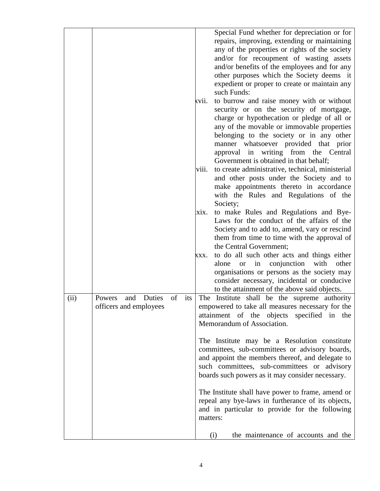|      |                         |           |          | Special Fund whether for depreciation or for             |
|------|-------------------------|-----------|----------|----------------------------------------------------------|
|      |                         |           |          | repairs, improving, extending or maintaining             |
|      |                         |           |          | any of the properties or rights of the society           |
|      |                         |           |          | and/or for recoupment of wasting assets                  |
|      |                         |           |          | and/or benefits of the employees and for any             |
|      |                         |           |          | other purposes which the Society deems it                |
|      |                         |           |          | expedient or proper to create or maintain any            |
|      |                         |           |          | such Funds:                                              |
|      |                         |           | kvii.    | to burrow and raise money with or without                |
|      |                         |           |          | security or on the security of mortgage,                 |
|      |                         |           |          | charge or hypothecation or pledge of all or              |
|      |                         |           |          | any of the movable or immovable properties               |
|      |                         |           |          | belonging to the society or in any other                 |
|      |                         |           |          | manner whatsoever provided that prior                    |
|      |                         |           |          | approval in writing from the Central                     |
|      |                         |           |          | Government is obtained in that behalf;                   |
|      |                         |           | viii.    | to create administrative, technical, ministerial         |
|      |                         |           |          | and other posts under the Society and to                 |
|      |                         |           |          | make appointments thereto in accordance                  |
|      |                         |           |          | with the Rules and Regulations of the                    |
|      |                         |           |          | Society;                                                 |
|      |                         |           | xix.     | to make Rules and Regulations and Bye-                   |
|      |                         |           |          | Laws for the conduct of the affairs of the               |
|      |                         |           |          | Society and to add to, amend, vary or rescind            |
|      |                         |           |          | them from time to time with the approval of              |
|      |                         |           |          | the Central Government;                                  |
|      |                         |           | XXX.     | to do all such other acts and things either              |
|      |                         |           |          | conjunction<br>with<br>in<br>other<br>alone<br><b>or</b> |
|      |                         |           |          | organisations or persons as the society may              |
|      |                         |           |          | consider necessary, incidental or conducive              |
|      |                         |           |          | to the attainment of the above said objects.             |
| (ii) | and<br>Duties<br>Powers | of<br>its |          | The Institute shall be the supreme authority             |
|      | officers and employees  |           |          | empowered to take all measures necessary for the         |
|      |                         |           |          | attainment of the objects<br>specified in<br>the         |
|      |                         |           |          | Memorandum of Association.                               |
|      |                         |           |          |                                                          |
|      |                         |           |          | The Institute may be a Resolution constitute             |
|      |                         |           |          | committees, sub-committees or advisory boards,           |
|      |                         |           |          | and appoint the members thereof, and delegate to         |
|      |                         |           |          | such committees, sub-committees or advisory              |
|      |                         |           |          | boards such powers as it may consider necessary.         |
|      |                         |           |          | The Institute shall have power to frame, amend or        |
|      |                         |           |          | repeal any bye-laws in furtherance of its objects,       |
|      |                         |           |          | and in particular to provide for the following           |
|      |                         |           | matters: |                                                          |
|      |                         |           | (i)      | the maintenance of accounts and the                      |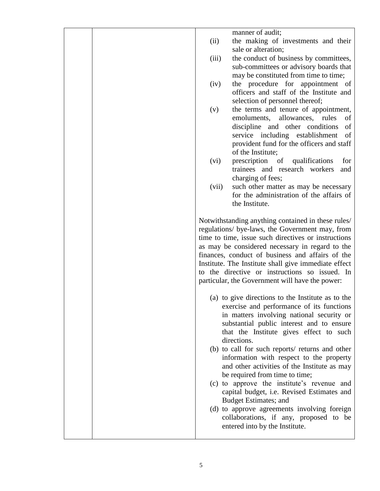manner of audit; (ii) the making of investments and their sale or alteration; (iii) the conduct of business by committees, sub-committees or advisory boards that may be constituted from time to time; (iv) the procedure for appointment of officers and staff of the Institute and selection of personnel thereof; (v) the terms and tenure of appointment, emoluments, allowances, rules of discipline and other conditions of service including establishment of provident fund for the officers and staff of the Institute; (vi) prescription of qualifications for trainees and research workers and charging of fees: (vii) such other matter as may be necessary for the administration of the affairs of the Institute. Notwithstanding anything contained in these rules/ regulations/ bye-laws, the Government may, from time to time, issue such directives or instructions as may be considered necessary in regard to the finances, conduct of business and affairs of the Institute. The Institute shall give immediate effect to the directive or instructions so issued. In particular, the Government will have the power: (a) to give directions to the Institute as to the exercise and performance of its functions in matters involving national security or substantial public interest and to ensure that the Institute gives effect to such directions. (b) to call for such reports/ returns and other information with respect to the property and other activities of the Institute as may be required from time to time; (c) to approve the institute's revenue and capital budget, i.e. Revised Estimates and Budget Estimates; and (d) to approve agreements involving foreign collaborations, if any, proposed to be entered into by the Institute.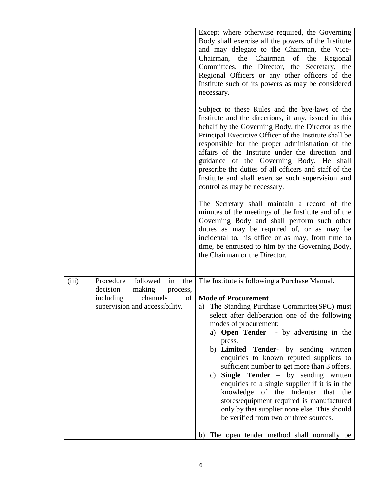|       |                                                                                                                                       | Except where otherwise required, the Governing<br>Body shall exercise all the powers of the Institute<br>and may delegate to the Chairman, the Vice-<br>Chairman, the Chairman<br>of<br>the<br>Regional<br>Committees, the Director, the Secretary, the<br>Regional Officers or any other officers of the<br>Institute such of its powers as may be considered<br>necessary.<br>Subject to these Rules and the bye-laws of the<br>Institute and the directions, if any, issued in this<br>behalf by the Governing Body, the Director as the<br>Principal Executive Officer of the Institute shall be<br>responsible for the proper administration of the<br>affairs of the Institute under the direction and<br>guidance of the Governing Body. He shall<br>prescribe the duties of all officers and staff of the<br>Institute and shall exercise such supervision and<br>control as may be necessary.<br>The Secretary shall maintain a record of the<br>minutes of the meetings of the Institute and of the<br>Governing Body and shall perform such other<br>duties as may be required of, or as may be<br>incidental to, his office or as may, from time to |
|-------|---------------------------------------------------------------------------------------------------------------------------------------|-----------------------------------------------------------------------------------------------------------------------------------------------------------------------------------------------------------------------------------------------------------------------------------------------------------------------------------------------------------------------------------------------------------------------------------------------------------------------------------------------------------------------------------------------------------------------------------------------------------------------------------------------------------------------------------------------------------------------------------------------------------------------------------------------------------------------------------------------------------------------------------------------------------------------------------------------------------------------------------------------------------------------------------------------------------------------------------------------------------------------------------------------------------------|
|       |                                                                                                                                       | time, be entrusted to him by the Governing Body,<br>the Chairman or the Director.                                                                                                                                                                                                                                                                                                                                                                                                                                                                                                                                                                                                                                                                                                                                                                                                                                                                                                                                                                                                                                                                               |
| (iii) | followed<br>Procedure<br>in<br>the<br>making<br>decision<br>process,<br>channels<br>including<br>of<br>supervision and accessibility. | The Institute is following a Purchase Manual.<br><b>Mode of Procurement</b><br>The Standing Purchase Committee(SPC) must<br>a)<br>select after deliberation one of the following<br>modes of procurement:<br>a) Open Tender - by advertising in the<br>press.<br>b) Limited Tender- by sending written<br>enquiries to known reputed suppliers to<br>sufficient number to get more than 3 offers.<br>Single Tender - by sending written<br>$\mathbf{c})$<br>enquiries to a single supplier if it is in the<br>knowledge of the Indenter that the<br>stores/equipment required is manufactured<br>only by that supplier none else. This should<br>be verified from two or three sources.<br>b) The open tender method shall normally be                                                                                                                                                                                                                                                                                                                                                                                                                          |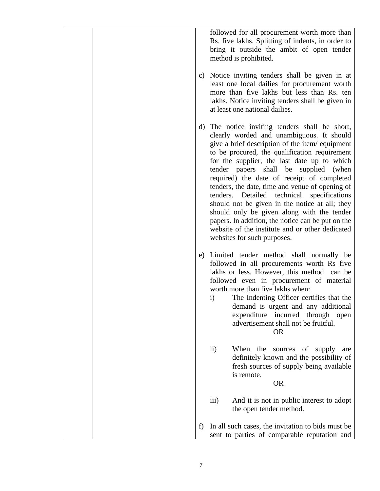|    | followed for all procurement worth more than<br>Rs. five lakhs. Splitting of indents, in order to<br>bring it outside the ambit of open tender<br>method is prohibited.                                                                                                                                                                                                                                                                                                                                                                                                                                                                                                   |
|----|---------------------------------------------------------------------------------------------------------------------------------------------------------------------------------------------------------------------------------------------------------------------------------------------------------------------------------------------------------------------------------------------------------------------------------------------------------------------------------------------------------------------------------------------------------------------------------------------------------------------------------------------------------------------------|
| c) | Notice inviting tenders shall be given in at<br>least one local dailies for procurement worth<br>more than five lakhs but less than Rs. ten<br>lakhs. Notice inviting tenders shall be given in<br>at least one national dailies.                                                                                                                                                                                                                                                                                                                                                                                                                                         |
| d) | The notice inviting tenders shall be short,<br>clearly worded and unambiguous. It should<br>give a brief description of the item/equipment<br>to be procured, the qualification requirement<br>for the supplier, the last date up to which<br>tender papers shall be supplied (when<br>required) the date of receipt of completed<br>tenders, the date, time and venue of opening of<br>tenders. Detailed technical specifications<br>should not be given in the notice at all; they<br>should only be given along with the tender<br>papers. In addition, the notice can be put on the<br>website of the institute and or other dedicated<br>websites for such purposes. |
| e) | Limited tender method shall normally be<br>followed in all procurements worth Rs five<br>lakhs or less. However, this method can be<br>followed even in procurement of material<br>worth more than five lakhs when:<br>The Indenting Officer certifies that the<br>$\mathbf{i}$<br>demand is urgent and any additional<br>expenditure incurred through open<br>advertisement shall not be fruitful.<br><b>OR</b>                                                                                                                                                                                                                                                          |
|    | $\mathbf{ii}$<br>When<br>the<br>sources of<br>supply<br>are<br>definitely known and the possibility of<br>fresh sources of supply being available<br>is remote.<br><b>OR</b>                                                                                                                                                                                                                                                                                                                                                                                                                                                                                              |
|    | iii)<br>And it is not in public interest to adopt<br>the open tender method.                                                                                                                                                                                                                                                                                                                                                                                                                                                                                                                                                                                              |
| f) | In all such cases, the invitation to bids must be<br>sent to parties of comparable reputation and                                                                                                                                                                                                                                                                                                                                                                                                                                                                                                                                                                         |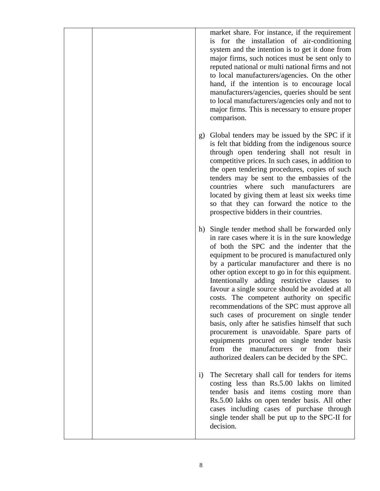market share. For instance, if the requirement is for the installation of air-conditioning system and the intention is to get it done from major firms, such notices must be sent only to reputed national or multi national firms and not to local manufacturers/agencies. On the other hand, if the intention is to encourage local manufacturers/agencies, queries should be sent to local manufacturers/agencies only and not to major firms. This is necessary to ensure proper comparison.

- g) Global tenders may be issued by the SPC if it is felt that bidding from the indigenous source through open tendering shall not result in competitive prices. In such cases, in addition to the open tendering procedures, copies of such tenders may be sent to the embassies of the countries where such manufacturers are located by giving them at least six weeks time so that they can forward the notice to the prospective bidders in their countries.
- h) Single tender method shall be forwarded only in rare cases where it is in the sure knowledge of both the SPC and the indenter that the equipment to be procured is manufactured only by a particular manufacturer and there is no other option except to go in for this equipment. Intentionally adding restrictive clauses to favour a single source should be avoided at all costs. The competent authority on specific recommendations of the SPC must approve all such cases of procurement on single tender basis, only after he satisfies himself that such procurement is unavoidable. Spare parts of equipments procured on single tender basis from the manufacturers or from their authorized dealers can be decided by the SPC.
- i) The Secretary shall call for tenders for items costing less than Rs.5.00 lakhs on limited tender basis and items costing more than Rs.5.00 lakhs on open tender basis. All other cases including cases of purchase through single tender shall be put up to the SPC-II for decision.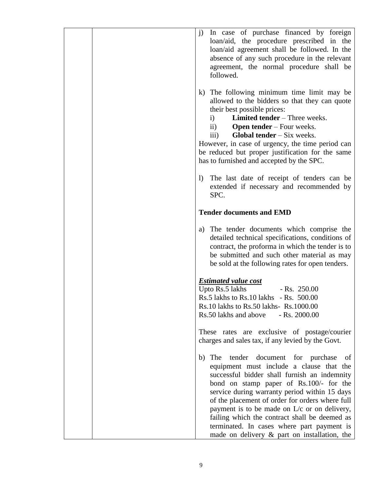| In case of purchase financed by foreign<br>$\mathbf{j}$<br>loan/aid, the procedure prescribed in the<br>loan/aid agreement shall be followed. In the<br>absence of any such procedure in the relevant<br>agreement, the normal procedure shall be<br>followed.                                                                                                                                                                                                                                 |
|------------------------------------------------------------------------------------------------------------------------------------------------------------------------------------------------------------------------------------------------------------------------------------------------------------------------------------------------------------------------------------------------------------------------------------------------------------------------------------------------|
| k) The following minimum time limit may be<br>allowed to the bidders so that they can quote<br>their best possible prices:<br><b>Limited tender</b> – Three weeks.<br>$\mathbf{i}$<br>$\mathbf{ii}$<br><b>Open tender</b> – Four weeks.<br><b>Global tender</b> $-$ Six weeks.<br>$\overline{111}$ )<br>However, in case of urgency, the time period can<br>be reduced but proper justification for the same<br>has to furnished and accepted by the SPC.                                      |
| The last date of receipt of tenders can be<br>$\left  \right\rangle$<br>extended if necessary and recommended by<br>SPC.                                                                                                                                                                                                                                                                                                                                                                       |
| <b>Tender documents and EMD</b>                                                                                                                                                                                                                                                                                                                                                                                                                                                                |
| a) The tender documents which comprise the<br>detailed technical specifications, conditions of<br>contract, the proforma in which the tender is to<br>be submitted and such other material as may<br>be sold at the following rates for open tenders.                                                                                                                                                                                                                                          |
| <b>Estimated value cost</b><br>Upto Rs.5 lakhs<br>$-Rs. 250.00$<br>Rs.5 lakhs to Rs.10 lakhs - Rs. 500.00<br>Rs.10 lakhs to Rs.50 lakhs- Rs.1000.00<br>$-Rs. 2000.00$<br>Rs.50 lakhs and above                                                                                                                                                                                                                                                                                                 |
| These rates are exclusive of postage/courier<br>charges and sales tax, if any levied by the Govt.                                                                                                                                                                                                                                                                                                                                                                                              |
| tender document for purchase<br>The<br>of<br>b)<br>equipment must include a clause that the<br>successful bidder shall furnish an indemnity<br>bond on stamp paper of Rs.100/- for the<br>service during warranty period within 15 days<br>of the placement of order for orders where full<br>payment is to be made on $L/c$ or on delivery,<br>failing which the contract shall be deemed as<br>terminated. In cases where part payment is<br>made on delivery $\&$ part on installation, the |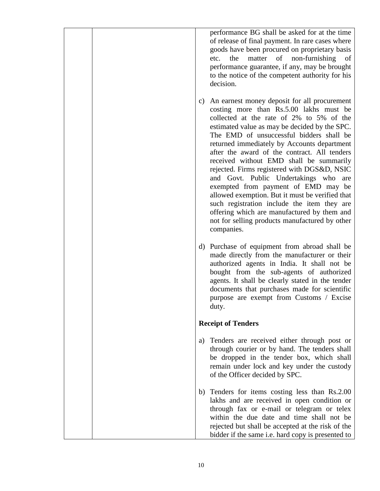performance BG shall be asked for at the time of release of final payment. In rare cases where goods have been procured on proprietary basis etc. the matter of non-furnishing of performance guarantee, if any, may be brought to the notice of the competent authority for his decision.

- c) An earnest money deposit for all procurement costing more than Rs.5.00 lakhs must be collected at the rate of 2% to 5% of the estimated value as may be decided by the SPC. The EMD of unsuccessful bidders shall be returned immediately by Accounts department after the award of the contract. All tenders received without EMD shall be summarily rejected. Firms registered with DGS&D, NSIC and Govt. Public Undertakings who are exempted from payment of EMD may be allowed exemption. But it must be verified that such registration include the item they are offering which are manufactured by them and not for selling products manufactured by other companies.
- d) Purchase of equipment from abroad shall be made directly from the manufacturer or their authorized agents in India. It shall not be bought from the sub-agents of authorized agents. It shall be clearly stated in the tender documents that purchases made for scientific purpose are exempt from Customs / Excise duty.

## **Receipt of Tenders**

- a) Tenders are received either through post or through courier or by hand. The tenders shall be dropped in the tender box, which shall remain under lock and key under the custody of the Officer decided by SPC.
- b) Tenders for items costing less than Rs.2.00 lakhs and are received in open condition or through fax or e-mail or telegram or telex within the due date and time shall not be rejected but shall be accepted at the risk of the bidder if the same i.e. hard copy is presented to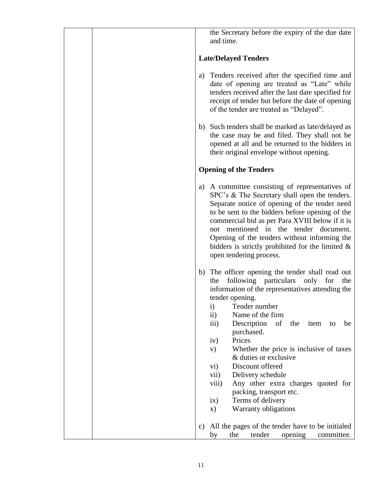the Secretary before the expiry of the due date and time. **Late/Delayed Tenders** a) Tenders received after the specified time and date of opening are treated as "Late" while tenders received after the last date specified for receipt of tender but before the date of opening of the tender are treated as "Delayed". b) Such tenders shall be marked as late/delayed as the case may be and filed. They shall not be opened at all and be returned to the bidders in their original envelope without opening. **Opening of the Tenders** a) A committee consisting of representatives of SPC's & The Secretary shall open the tenders. Separate notice of opening of the tender need to be sent to the bidders before opening of the commercial bid as per Para XVIII below if it is not mentioned in the tender document. Opening of the tenders without informing the bidders is strictly prohibited for the limited & open tendering process. b) The officer opening the tender shall read out the following particulars only for the information of the representatives attending the tender opening. i) Tender number ii) Name of the firm iii) Description of the item to be purchased. iv) Prices v) Whether the price is inclusive of taxes & duties or exclusive vi) Discount offered vii) Delivery schedule viii) Any other extra charges quoted for packing, transport etc. ix) Terms of delivery x) Warranty obligations c) All the pages of the tender have to be initialed by the tender opening committee.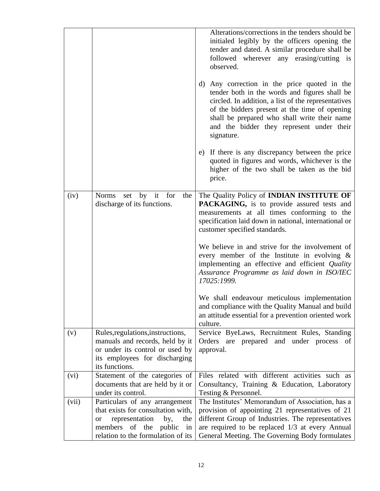|       |                                                                                                                                                                                              | Alterations/corrections in the tenders should be<br>initialed legibly by the officers opening the<br>tender and dated. A similar procedure shall be<br>followed wherever any erasing/cutting is<br>observed.<br>d) Any correction in the price quoted in the<br>tender both in the words and figures shall be<br>circled. In addition, a list of the representatives<br>of the bidders present at the time of opening<br>shall be prepared who shall write their name<br>and the bidder they represent under their<br>signature.<br>e) If there is any discrepancy between the price<br>quoted in figures and words, whichever is the |
|-------|----------------------------------------------------------------------------------------------------------------------------------------------------------------------------------------------|---------------------------------------------------------------------------------------------------------------------------------------------------------------------------------------------------------------------------------------------------------------------------------------------------------------------------------------------------------------------------------------------------------------------------------------------------------------------------------------------------------------------------------------------------------------------------------------------------------------------------------------|
|       |                                                                                                                                                                                              | higher of the two shall be taken as the bid<br>price.                                                                                                                                                                                                                                                                                                                                                                                                                                                                                                                                                                                 |
| (iv)  | Norms set by it for<br>the<br>discharge of its functions.                                                                                                                                    | The Quality Policy of INDIAN INSTITUTE OF<br>PACKAGING, is to provide assured tests and<br>measurements at all times conforming to the<br>specification laid down in national, international or<br>customer specified standards.<br>We believe in and strive for the involvement of<br>every member of the Institute in evolving $\&$<br>implementing an effective and efficient Quality<br>Assurance Programme as laid down in ISO/IEC<br>17025:1999.<br>We shall endeavour meticulous implementation<br>and compliance with the Quality Manual and build<br>an attitude essential for a prevention oriented work                    |
| (v)   | Rules, regulations, instructions,<br>manuals and records, held by it<br>or under its control or used by<br>its employees for discharging<br>its functions.                                   | culture.<br>Service ByeLaws, Recruitment Rules, Standing<br>Orders are prepared and under process of<br>approval.                                                                                                                                                                                                                                                                                                                                                                                                                                                                                                                     |
| (vi)  | Statement of the categories of<br>documents that are held by it or<br>under its control.                                                                                                     | Files related with different activities such as<br>Consultancy, Training & Education, Laboratory<br>Testing & Personnel.                                                                                                                                                                                                                                                                                                                                                                                                                                                                                                              |
| (vii) | Particulars of any arrangement<br>that exists for consultation with,<br>representation<br>by,<br>the<br><b>or</b><br>members<br>of the<br>public<br>in<br>relation to the formulation of its | The Institutes' Memorandum of Association, has a<br>provision of appointing 21 representatives of 21<br>different Group of Industries. The representatives<br>are required to be replaced 1/3 at every Annual<br>General Meeting. The Governing Body formulates                                                                                                                                                                                                                                                                                                                                                                       |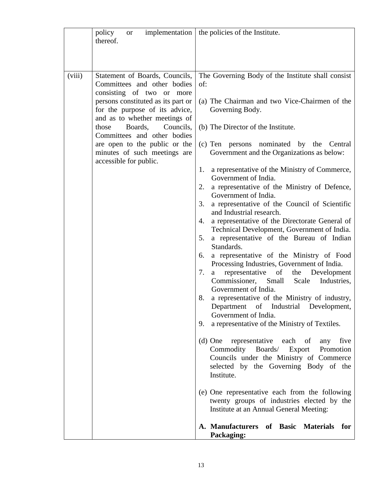|        | policy<br><b>or</b><br>thereof.                                                                                                                                                                                                                                                                                                                                |                                                     | implementation $\vert$ the policies of the Institute.                                                                                                                                                                                                                                                                                                                                                                                                                                                                                                                                                                                                                                                                                                                                                                                                                                                          |
|--------|----------------------------------------------------------------------------------------------------------------------------------------------------------------------------------------------------------------------------------------------------------------------------------------------------------------------------------------------------------------|-----------------------------------------------------|----------------------------------------------------------------------------------------------------------------------------------------------------------------------------------------------------------------------------------------------------------------------------------------------------------------------------------------------------------------------------------------------------------------------------------------------------------------------------------------------------------------------------------------------------------------------------------------------------------------------------------------------------------------------------------------------------------------------------------------------------------------------------------------------------------------------------------------------------------------------------------------------------------------|
|        |                                                                                                                                                                                                                                                                                                                                                                |                                                     |                                                                                                                                                                                                                                                                                                                                                                                                                                                                                                                                                                                                                                                                                                                                                                                                                                                                                                                |
| (viii) | Statement of Boards, Councils,<br>Committees and other bodies<br>consisting of two or more<br>persons constituted as its part or<br>for the purpose of its advice,<br>and as to whether meetings of<br>those<br>Boards,<br>Councils,<br>Committees and other bodies<br>are open to the public or the<br>minutes of such meetings are<br>accessible for public. | of:<br>1.<br>2.<br>3.<br>4.<br>5.<br>6.<br>7.<br>8. | The Governing Body of the Institute shall consist<br>(a) The Chairman and two Vice-Chairmen of the<br>Governing Body.<br>(b) The Director of the Institute.<br>(c) Ten persons nominated by the Central<br>Government and the Organizations as below:<br>a representative of the Ministry of Commerce,<br>Government of India.<br>a representative of the Ministry of Defence,<br>Government of India.<br>a representative of the Council of Scientific<br>and Industrial research.<br>a representative of the Directorate General of<br>Technical Development, Government of India.<br>a representative of the Bureau of Indian<br>Standards.<br>a representative of the Ministry of Food<br>Processing Industries, Government of India.<br>representative of<br>the Development<br>a<br>Commissioner, Small<br>Scale<br>Industries,<br>Government of India.<br>a representative of the Ministry of industry, |
|        |                                                                                                                                                                                                                                                                                                                                                                | 9.                                                  | Department of Industrial Development,<br>Government of India.<br>a representative of the Ministry of Textiles.                                                                                                                                                                                                                                                                                                                                                                                                                                                                                                                                                                                                                                                                                                                                                                                                 |
|        |                                                                                                                                                                                                                                                                                                                                                                |                                                     | (d) One representative each of<br>any five<br>Commodity Boards/<br>Export Promotion<br>Councils under the Ministry of Commerce<br>selected by the Governing Body of the<br>Institute.                                                                                                                                                                                                                                                                                                                                                                                                                                                                                                                                                                                                                                                                                                                          |
|        |                                                                                                                                                                                                                                                                                                                                                                |                                                     | (e) One representative each from the following<br>twenty groups of industries elected by the<br>Institute at an Annual General Meeting:                                                                                                                                                                                                                                                                                                                                                                                                                                                                                                                                                                                                                                                                                                                                                                        |
|        |                                                                                                                                                                                                                                                                                                                                                                |                                                     | A. Manufacturers of Basic Materials for<br>Packaging:                                                                                                                                                                                                                                                                                                                                                                                                                                                                                                                                                                                                                                                                                                                                                                                                                                                          |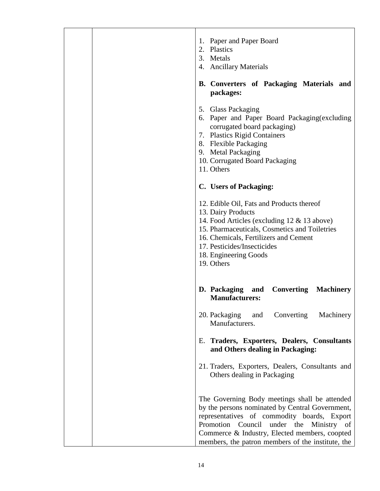| 1. Paper and Paper Board<br>2. Plastics<br>3. Metals<br>4. Ancillary Materials<br>B. Converters of Packaging Materials and<br>packages:                                                                                                                                                          |
|--------------------------------------------------------------------------------------------------------------------------------------------------------------------------------------------------------------------------------------------------------------------------------------------------|
| 5. Glass Packaging<br>6. Paper and Paper Board Packaging (excluding<br>corrugated board packaging)<br>7. Plastics Rigid Containers<br>8. Flexible Packaging<br>9. Metal Packaging<br>10. Corrugated Board Packaging<br>11. Others                                                                |
| C. Users of Packaging:                                                                                                                                                                                                                                                                           |
| 12. Edible Oil, Fats and Products thereof<br>13. Dairy Products<br>14. Food Articles (excluding 12 & 13 above)<br>15. Pharmaceuticals, Cosmetics and Toiletries<br>16. Chemicals, Fertilizers and Cement<br>17. Pesticides/Insecticides<br>18. Engineering Goods<br>19. Others                   |
| D. Packaging and Converting<br><b>Machinery</b><br><b>Manufacturers:</b>                                                                                                                                                                                                                         |
| 20. Packaging<br>Converting<br>Machinery<br>and<br>Manufacturers.                                                                                                                                                                                                                                |
| E. Traders, Exporters, Dealers, Consultants<br>and Others dealing in Packaging:                                                                                                                                                                                                                  |
| 21. Traders, Exporters, Dealers, Consultants and<br>Others dealing in Packaging                                                                                                                                                                                                                  |
| The Governing Body meetings shall be attended<br>by the persons nominated by Central Government,<br>representatives of commodity boards, Export<br>Promotion Council under the Ministry of<br>Commerce & Industry, Elected members, coopted<br>members, the patron members of the institute, the |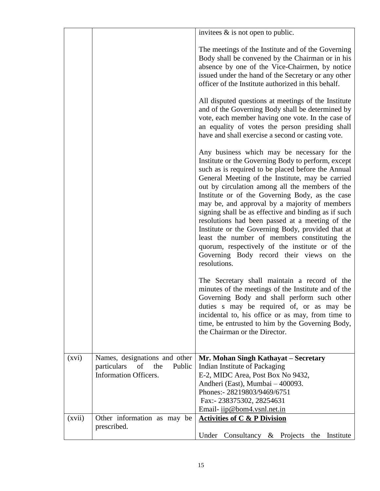|        |                                                                                              | invitees $\&$ is not open to public.                                                                                                                                                                                                                                                                                                                                                                                                                                                                                                                                                                                                                                                              |
|--------|----------------------------------------------------------------------------------------------|---------------------------------------------------------------------------------------------------------------------------------------------------------------------------------------------------------------------------------------------------------------------------------------------------------------------------------------------------------------------------------------------------------------------------------------------------------------------------------------------------------------------------------------------------------------------------------------------------------------------------------------------------------------------------------------------------|
|        |                                                                                              | The meetings of the Institute and of the Governing<br>Body shall be convened by the Chairman or in his<br>absence by one of the Vice-Chairmen, by notice<br>issued under the hand of the Secretary or any other<br>officer of the Institute authorized in this behalf.                                                                                                                                                                                                                                                                                                                                                                                                                            |
|        |                                                                                              | All disputed questions at meetings of the Institute<br>and of the Governing Body shall be determined by<br>vote, each member having one vote. In the case of<br>an equality of votes the person presiding shall<br>have and shall exercise a second or casting vote.                                                                                                                                                                                                                                                                                                                                                                                                                              |
|        |                                                                                              | Any business which may be necessary for the<br>Institute or the Governing Body to perform, except<br>such as is required to be placed before the Annual<br>General Meeting of the Institute, may be carried<br>out by circulation among all the members of the<br>Institute or of the Governing Body, as the case<br>may be, and approval by a majority of members<br>signing shall be as effective and binding as if such<br>resolutions had been passed at a meeting of the<br>Institute or the Governing Body, provided that at<br>least the number of members constituting the<br>quorum, respectively of the institute or of the<br>Governing Body record their views on the<br>resolutions. |
|        |                                                                                              | The Secretary shall maintain a record of the<br>minutes of the meetings of the Institute and of the<br>Governing Body and shall perform such other<br>duties s may be required of, or as may be<br>incidental to, his office or as may, from time to<br>time, be entrusted to him by the Governing Body,<br>the Chairman or the Director.                                                                                                                                                                                                                                                                                                                                                         |
| (xvi)  | Names, designations and other<br>particulars<br>the<br>Public<br>of<br>Information Officers. | Mr. Mohan Singh Kathayat - Secretary<br>Indian Institute of Packaging<br>E-2, MIDC Area, Post Box No 9432,<br>Andheri (East), Mumbai - 400093.<br>Phones: - 28219803/9469/6751<br>Fax:- 238375302, 28254631                                                                                                                                                                                                                                                                                                                                                                                                                                                                                       |
| (xvii) | Other information as may be                                                                  | Email- iip@bom4.vsnl.net.in<br><b>Activities of C &amp; P Division</b>                                                                                                                                                                                                                                                                                                                                                                                                                                                                                                                                                                                                                            |
|        | prescribed.                                                                                  | Under Consultancy $\&$ Projects the<br>Institute                                                                                                                                                                                                                                                                                                                                                                                                                                                                                                                                                                                                                                                  |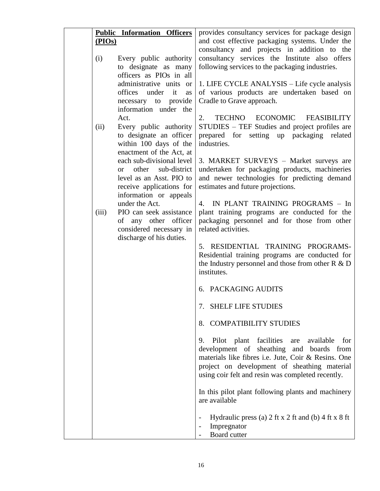| and cost effective packaging systems. Under the<br>(PIOs)<br>consultancy and projects in addition to the<br>consultancy services the Institute also offers<br>(i)<br>Every public authority<br>to designate as many<br>following services to the packaging industries.<br>officers as PIOs in all<br>administrative units or<br>1. LIFE CYCLE ANALYSIS - Life cycle analysis<br>of various products are undertaken based on<br>offices under it<br>as<br>Cradle to Grave approach.<br>necessary to provide<br>information under the<br>TECHNO ECONOMIC<br>Act.<br>2.<br><b>FEASIBILITY</b><br>STUDIES - TEF Studies and project profiles are<br>(ii)<br>Every public authority<br>to designate an officer<br>prepared for setting up packaging<br>related<br>within 100 days of the<br>industries.<br>enactment of the Act, at<br>each sub-divisional level<br>3. MARKET SURVEYS - Market surveys are<br>sub-district<br>undertaken for packaging products, machineries<br>other<br><sub>or</sub><br>and newer technologies for predicting demand<br>level as an Asst. PIO to<br>estimates and future projections.<br>receive applications for<br>information or appeals<br>IN PLANT TRAINING PROGRAMS - In<br>under the Act.<br>4.<br>plant training programs are conducted for the<br>(iii)<br>PIO can seek assistance<br>packaging personnel and for those from other<br>of any other officer<br>considered necessary in<br>related activities.<br>discharge of his duties.<br>5. RESIDENTIAL TRAINING PROGRAMS-<br>Residential training programs are conducted for<br>the Industry personnel and those from other $R & D$<br>institutes.<br>6. PACKAGING AUDITS<br>7. SHELF LIFE STUDIES<br><b>COMPATIBILITY STUDIES</b><br>8.<br>Pilot plant facilities<br>9.<br>available<br>for<br>are<br>development of sheathing and boards from<br>materials like fibres i.e. Jute, Coir & Resins. One<br>project on development of sheathing material<br>using coir felt and resin was completed recently.<br>In this pilot plant following plants and machinery<br>are available |  | <b>Public Information Officers</b> | provides consultancy services for package design |
|------------------------------------------------------------------------------------------------------------------------------------------------------------------------------------------------------------------------------------------------------------------------------------------------------------------------------------------------------------------------------------------------------------------------------------------------------------------------------------------------------------------------------------------------------------------------------------------------------------------------------------------------------------------------------------------------------------------------------------------------------------------------------------------------------------------------------------------------------------------------------------------------------------------------------------------------------------------------------------------------------------------------------------------------------------------------------------------------------------------------------------------------------------------------------------------------------------------------------------------------------------------------------------------------------------------------------------------------------------------------------------------------------------------------------------------------------------------------------------------------------------------------------------------------------------------------------------------------------------------------------------------------------------------------------------------------------------------------------------------------------------------------------------------------------------------------------------------------------------------------------------------------------------------------------------------------------------------------------------------------------------------------------------------------------------------------------|--|------------------------------------|--------------------------------------------------|
|                                                                                                                                                                                                                                                                                                                                                                                                                                                                                                                                                                                                                                                                                                                                                                                                                                                                                                                                                                                                                                                                                                                                                                                                                                                                                                                                                                                                                                                                                                                                                                                                                                                                                                                                                                                                                                                                                                                                                                                                                                                                              |  |                                    |                                                  |
|                                                                                                                                                                                                                                                                                                                                                                                                                                                                                                                                                                                                                                                                                                                                                                                                                                                                                                                                                                                                                                                                                                                                                                                                                                                                                                                                                                                                                                                                                                                                                                                                                                                                                                                                                                                                                                                                                                                                                                                                                                                                              |  |                                    |                                                  |
|                                                                                                                                                                                                                                                                                                                                                                                                                                                                                                                                                                                                                                                                                                                                                                                                                                                                                                                                                                                                                                                                                                                                                                                                                                                                                                                                                                                                                                                                                                                                                                                                                                                                                                                                                                                                                                                                                                                                                                                                                                                                              |  |                                    |                                                  |
|                                                                                                                                                                                                                                                                                                                                                                                                                                                                                                                                                                                                                                                                                                                                                                                                                                                                                                                                                                                                                                                                                                                                                                                                                                                                                                                                                                                                                                                                                                                                                                                                                                                                                                                                                                                                                                                                                                                                                                                                                                                                              |  |                                    |                                                  |
|                                                                                                                                                                                                                                                                                                                                                                                                                                                                                                                                                                                                                                                                                                                                                                                                                                                                                                                                                                                                                                                                                                                                                                                                                                                                                                                                                                                                                                                                                                                                                                                                                                                                                                                                                                                                                                                                                                                                                                                                                                                                              |  |                                    |                                                  |
|                                                                                                                                                                                                                                                                                                                                                                                                                                                                                                                                                                                                                                                                                                                                                                                                                                                                                                                                                                                                                                                                                                                                                                                                                                                                                                                                                                                                                                                                                                                                                                                                                                                                                                                                                                                                                                                                                                                                                                                                                                                                              |  |                                    |                                                  |
|                                                                                                                                                                                                                                                                                                                                                                                                                                                                                                                                                                                                                                                                                                                                                                                                                                                                                                                                                                                                                                                                                                                                                                                                                                                                                                                                                                                                                                                                                                                                                                                                                                                                                                                                                                                                                                                                                                                                                                                                                                                                              |  |                                    |                                                  |
|                                                                                                                                                                                                                                                                                                                                                                                                                                                                                                                                                                                                                                                                                                                                                                                                                                                                                                                                                                                                                                                                                                                                                                                                                                                                                                                                                                                                                                                                                                                                                                                                                                                                                                                                                                                                                                                                                                                                                                                                                                                                              |  |                                    |                                                  |
|                                                                                                                                                                                                                                                                                                                                                                                                                                                                                                                                                                                                                                                                                                                                                                                                                                                                                                                                                                                                                                                                                                                                                                                                                                                                                                                                                                                                                                                                                                                                                                                                                                                                                                                                                                                                                                                                                                                                                                                                                                                                              |  |                                    |                                                  |
|                                                                                                                                                                                                                                                                                                                                                                                                                                                                                                                                                                                                                                                                                                                                                                                                                                                                                                                                                                                                                                                                                                                                                                                                                                                                                                                                                                                                                                                                                                                                                                                                                                                                                                                                                                                                                                                                                                                                                                                                                                                                              |  |                                    |                                                  |
|                                                                                                                                                                                                                                                                                                                                                                                                                                                                                                                                                                                                                                                                                                                                                                                                                                                                                                                                                                                                                                                                                                                                                                                                                                                                                                                                                                                                                                                                                                                                                                                                                                                                                                                                                                                                                                                                                                                                                                                                                                                                              |  |                                    |                                                  |
|                                                                                                                                                                                                                                                                                                                                                                                                                                                                                                                                                                                                                                                                                                                                                                                                                                                                                                                                                                                                                                                                                                                                                                                                                                                                                                                                                                                                                                                                                                                                                                                                                                                                                                                                                                                                                                                                                                                                                                                                                                                                              |  |                                    |                                                  |
|                                                                                                                                                                                                                                                                                                                                                                                                                                                                                                                                                                                                                                                                                                                                                                                                                                                                                                                                                                                                                                                                                                                                                                                                                                                                                                                                                                                                                                                                                                                                                                                                                                                                                                                                                                                                                                                                                                                                                                                                                                                                              |  |                                    |                                                  |
|                                                                                                                                                                                                                                                                                                                                                                                                                                                                                                                                                                                                                                                                                                                                                                                                                                                                                                                                                                                                                                                                                                                                                                                                                                                                                                                                                                                                                                                                                                                                                                                                                                                                                                                                                                                                                                                                                                                                                                                                                                                                              |  |                                    |                                                  |
|                                                                                                                                                                                                                                                                                                                                                                                                                                                                                                                                                                                                                                                                                                                                                                                                                                                                                                                                                                                                                                                                                                                                                                                                                                                                                                                                                                                                                                                                                                                                                                                                                                                                                                                                                                                                                                                                                                                                                                                                                                                                              |  |                                    |                                                  |
|                                                                                                                                                                                                                                                                                                                                                                                                                                                                                                                                                                                                                                                                                                                                                                                                                                                                                                                                                                                                                                                                                                                                                                                                                                                                                                                                                                                                                                                                                                                                                                                                                                                                                                                                                                                                                                                                                                                                                                                                                                                                              |  |                                    |                                                  |
|                                                                                                                                                                                                                                                                                                                                                                                                                                                                                                                                                                                                                                                                                                                                                                                                                                                                                                                                                                                                                                                                                                                                                                                                                                                                                                                                                                                                                                                                                                                                                                                                                                                                                                                                                                                                                                                                                                                                                                                                                                                                              |  |                                    |                                                  |
|                                                                                                                                                                                                                                                                                                                                                                                                                                                                                                                                                                                                                                                                                                                                                                                                                                                                                                                                                                                                                                                                                                                                                                                                                                                                                                                                                                                                                                                                                                                                                                                                                                                                                                                                                                                                                                                                                                                                                                                                                                                                              |  |                                    |                                                  |
|                                                                                                                                                                                                                                                                                                                                                                                                                                                                                                                                                                                                                                                                                                                                                                                                                                                                                                                                                                                                                                                                                                                                                                                                                                                                                                                                                                                                                                                                                                                                                                                                                                                                                                                                                                                                                                                                                                                                                                                                                                                                              |  |                                    |                                                  |
|                                                                                                                                                                                                                                                                                                                                                                                                                                                                                                                                                                                                                                                                                                                                                                                                                                                                                                                                                                                                                                                                                                                                                                                                                                                                                                                                                                                                                                                                                                                                                                                                                                                                                                                                                                                                                                                                                                                                                                                                                                                                              |  |                                    |                                                  |
|                                                                                                                                                                                                                                                                                                                                                                                                                                                                                                                                                                                                                                                                                                                                                                                                                                                                                                                                                                                                                                                                                                                                                                                                                                                                                                                                                                                                                                                                                                                                                                                                                                                                                                                                                                                                                                                                                                                                                                                                                                                                              |  |                                    |                                                  |
|                                                                                                                                                                                                                                                                                                                                                                                                                                                                                                                                                                                                                                                                                                                                                                                                                                                                                                                                                                                                                                                                                                                                                                                                                                                                                                                                                                                                                                                                                                                                                                                                                                                                                                                                                                                                                                                                                                                                                                                                                                                                              |  |                                    |                                                  |
|                                                                                                                                                                                                                                                                                                                                                                                                                                                                                                                                                                                                                                                                                                                                                                                                                                                                                                                                                                                                                                                                                                                                                                                                                                                                                                                                                                                                                                                                                                                                                                                                                                                                                                                                                                                                                                                                                                                                                                                                                                                                              |  |                                    |                                                  |
|                                                                                                                                                                                                                                                                                                                                                                                                                                                                                                                                                                                                                                                                                                                                                                                                                                                                                                                                                                                                                                                                                                                                                                                                                                                                                                                                                                                                                                                                                                                                                                                                                                                                                                                                                                                                                                                                                                                                                                                                                                                                              |  |                                    |                                                  |
|                                                                                                                                                                                                                                                                                                                                                                                                                                                                                                                                                                                                                                                                                                                                                                                                                                                                                                                                                                                                                                                                                                                                                                                                                                                                                                                                                                                                                                                                                                                                                                                                                                                                                                                                                                                                                                                                                                                                                                                                                                                                              |  |                                    |                                                  |
|                                                                                                                                                                                                                                                                                                                                                                                                                                                                                                                                                                                                                                                                                                                                                                                                                                                                                                                                                                                                                                                                                                                                                                                                                                                                                                                                                                                                                                                                                                                                                                                                                                                                                                                                                                                                                                                                                                                                                                                                                                                                              |  |                                    |                                                  |
|                                                                                                                                                                                                                                                                                                                                                                                                                                                                                                                                                                                                                                                                                                                                                                                                                                                                                                                                                                                                                                                                                                                                                                                                                                                                                                                                                                                                                                                                                                                                                                                                                                                                                                                                                                                                                                                                                                                                                                                                                                                                              |  |                                    |                                                  |
|                                                                                                                                                                                                                                                                                                                                                                                                                                                                                                                                                                                                                                                                                                                                                                                                                                                                                                                                                                                                                                                                                                                                                                                                                                                                                                                                                                                                                                                                                                                                                                                                                                                                                                                                                                                                                                                                                                                                                                                                                                                                              |  |                                    |                                                  |
|                                                                                                                                                                                                                                                                                                                                                                                                                                                                                                                                                                                                                                                                                                                                                                                                                                                                                                                                                                                                                                                                                                                                                                                                                                                                                                                                                                                                                                                                                                                                                                                                                                                                                                                                                                                                                                                                                                                                                                                                                                                                              |  |                                    |                                                  |
|                                                                                                                                                                                                                                                                                                                                                                                                                                                                                                                                                                                                                                                                                                                                                                                                                                                                                                                                                                                                                                                                                                                                                                                                                                                                                                                                                                                                                                                                                                                                                                                                                                                                                                                                                                                                                                                                                                                                                                                                                                                                              |  |                                    |                                                  |
|                                                                                                                                                                                                                                                                                                                                                                                                                                                                                                                                                                                                                                                                                                                                                                                                                                                                                                                                                                                                                                                                                                                                                                                                                                                                                                                                                                                                                                                                                                                                                                                                                                                                                                                                                                                                                                                                                                                                                                                                                                                                              |  |                                    |                                                  |
|                                                                                                                                                                                                                                                                                                                                                                                                                                                                                                                                                                                                                                                                                                                                                                                                                                                                                                                                                                                                                                                                                                                                                                                                                                                                                                                                                                                                                                                                                                                                                                                                                                                                                                                                                                                                                                                                                                                                                                                                                                                                              |  |                                    |                                                  |
|                                                                                                                                                                                                                                                                                                                                                                                                                                                                                                                                                                                                                                                                                                                                                                                                                                                                                                                                                                                                                                                                                                                                                                                                                                                                                                                                                                                                                                                                                                                                                                                                                                                                                                                                                                                                                                                                                                                                                                                                                                                                              |  |                                    |                                                  |
|                                                                                                                                                                                                                                                                                                                                                                                                                                                                                                                                                                                                                                                                                                                                                                                                                                                                                                                                                                                                                                                                                                                                                                                                                                                                                                                                                                                                                                                                                                                                                                                                                                                                                                                                                                                                                                                                                                                                                                                                                                                                              |  |                                    |                                                  |
|                                                                                                                                                                                                                                                                                                                                                                                                                                                                                                                                                                                                                                                                                                                                                                                                                                                                                                                                                                                                                                                                                                                                                                                                                                                                                                                                                                                                                                                                                                                                                                                                                                                                                                                                                                                                                                                                                                                                                                                                                                                                              |  |                                    |                                                  |
|                                                                                                                                                                                                                                                                                                                                                                                                                                                                                                                                                                                                                                                                                                                                                                                                                                                                                                                                                                                                                                                                                                                                                                                                                                                                                                                                                                                                                                                                                                                                                                                                                                                                                                                                                                                                                                                                                                                                                                                                                                                                              |  |                                    |                                                  |
|                                                                                                                                                                                                                                                                                                                                                                                                                                                                                                                                                                                                                                                                                                                                                                                                                                                                                                                                                                                                                                                                                                                                                                                                                                                                                                                                                                                                                                                                                                                                                                                                                                                                                                                                                                                                                                                                                                                                                                                                                                                                              |  |                                    |                                                  |
|                                                                                                                                                                                                                                                                                                                                                                                                                                                                                                                                                                                                                                                                                                                                                                                                                                                                                                                                                                                                                                                                                                                                                                                                                                                                                                                                                                                                                                                                                                                                                                                                                                                                                                                                                                                                                                                                                                                                                                                                                                                                              |  |                                    |                                                  |
|                                                                                                                                                                                                                                                                                                                                                                                                                                                                                                                                                                                                                                                                                                                                                                                                                                                                                                                                                                                                                                                                                                                                                                                                                                                                                                                                                                                                                                                                                                                                                                                                                                                                                                                                                                                                                                                                                                                                                                                                                                                                              |  |                                    |                                                  |
|                                                                                                                                                                                                                                                                                                                                                                                                                                                                                                                                                                                                                                                                                                                                                                                                                                                                                                                                                                                                                                                                                                                                                                                                                                                                                                                                                                                                                                                                                                                                                                                                                                                                                                                                                                                                                                                                                                                                                                                                                                                                              |  |                                    |                                                  |
|                                                                                                                                                                                                                                                                                                                                                                                                                                                                                                                                                                                                                                                                                                                                                                                                                                                                                                                                                                                                                                                                                                                                                                                                                                                                                                                                                                                                                                                                                                                                                                                                                                                                                                                                                                                                                                                                                                                                                                                                                                                                              |  |                                    |                                                  |
|                                                                                                                                                                                                                                                                                                                                                                                                                                                                                                                                                                                                                                                                                                                                                                                                                                                                                                                                                                                                                                                                                                                                                                                                                                                                                                                                                                                                                                                                                                                                                                                                                                                                                                                                                                                                                                                                                                                                                                                                                                                                              |  |                                    |                                                  |
|                                                                                                                                                                                                                                                                                                                                                                                                                                                                                                                                                                                                                                                                                                                                                                                                                                                                                                                                                                                                                                                                                                                                                                                                                                                                                                                                                                                                                                                                                                                                                                                                                                                                                                                                                                                                                                                                                                                                                                                                                                                                              |  |                                    |                                                  |
| Hydraulic press (a) 2 ft x 2 ft and (b) 4 ft x 8 ft<br>$\overline{\phantom{a}}$                                                                                                                                                                                                                                                                                                                                                                                                                                                                                                                                                                                                                                                                                                                                                                                                                                                                                                                                                                                                                                                                                                                                                                                                                                                                                                                                                                                                                                                                                                                                                                                                                                                                                                                                                                                                                                                                                                                                                                                              |  |                                    |                                                  |
| Impregnator                                                                                                                                                                                                                                                                                                                                                                                                                                                                                                                                                                                                                                                                                                                                                                                                                                                                                                                                                                                                                                                                                                                                                                                                                                                                                                                                                                                                                                                                                                                                                                                                                                                                                                                                                                                                                                                                                                                                                                                                                                                                  |  |                                    |                                                  |
|                                                                                                                                                                                                                                                                                                                                                                                                                                                                                                                                                                                                                                                                                                                                                                                                                                                                                                                                                                                                                                                                                                                                                                                                                                                                                                                                                                                                                                                                                                                                                                                                                                                                                                                                                                                                                                                                                                                                                                                                                                                                              |  |                                    | Board cutter                                     |